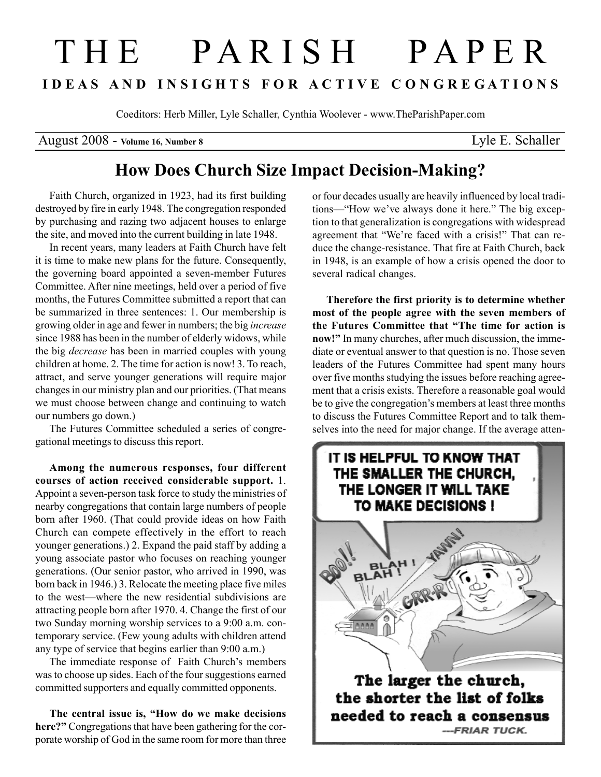# T H E P A R I S H P A P E R I D E A S A N D I N S I G H T S F O R A C T I V E C O N G R E G A T I O N S

Coeditors: Herb Miller, Lyle Schaller, Cynthia Woolever - www.TheParishPaper.com

August 2008 - Volume 16, Number 8 Lyle E. Schaller

## How Does Church Size Impact Decision-Making?

Faith Church, organized in 1923, had its first building destroyed by fire in early 1948. The congregation responded by purchasing and razing two adjacent houses to enlarge the site, and moved into the current building in late 1948.

In recent years, many leaders at Faith Church have felt it is time to make new plans for the future. Consequently, the governing board appointed a seven-member Futures Committee. After nine meetings, held over a period of five months, the Futures Committee submitted a report that can be summarized in three sentences: 1. Our membership is growing older in age and fewer in numbers; the big increase since 1988 has been in the number of elderly widows, while the big decrease has been in married couples with young children at home. 2. The time for action is now! 3. To reach, attract, and serve younger generations will require major changes in our ministry plan and our priorities. (That means we must choose between change and continuing to watch our numbers go down.)

The Futures Committee scheduled a series of congregational meetings to discuss this report.

Among the numerous responses, four different courses of action received considerable support. 1. Appoint a seven-person task force to study the ministries of nearby congregations that contain large numbers of people born after 1960. (That could provide ideas on how Faith Church can compete effectively in the effort to reach younger generations.) 2. Expand the paid staff by adding a young associate pastor who focuses on reaching younger generations. (Our senior pastor, who arrived in 1990, was born back in 1946.) 3. Relocate the meeting place five miles to the west—where the new residential subdivisions are attracting people born after 1970. 4. Change the first of our two Sunday morning worship services to a 9:00 a.m. contemporary service. (Few young adults with children attend any type of service that begins earlier than 9:00 a.m.)

The immediate response of Faith Church's members was to choose up sides. Each of the four suggestions earned committed supporters and equally committed opponents.

The central issue is, "How do we make decisions here?" Congregations that have been gathering for the corporate worship of God in the same room for more than three or four decades usually are heavily influenced by local traditions—"How we've always done it here." The big exception to that generalization is congregations with widespread agreement that "We're faced with a crisis!" That can reduce the change-resistance. That fire at Faith Church, back in 1948, is an example of how a crisis opened the door to several radical changes.

Therefore the first priority is to determine whether most of the people agree with the seven members of the Futures Committee that "The time for action is now!" In many churches, after much discussion, the immediate or eventual answer to that question is no. Those seven leaders of the Futures Committee had spent many hours over five months studying the issues before reaching agreement that a crisis exists. Therefore a reasonable goal would be to give the congregation's members at least three months to discuss the Futures Committee Report and to talk themselves into the need for major change. If the average atten-